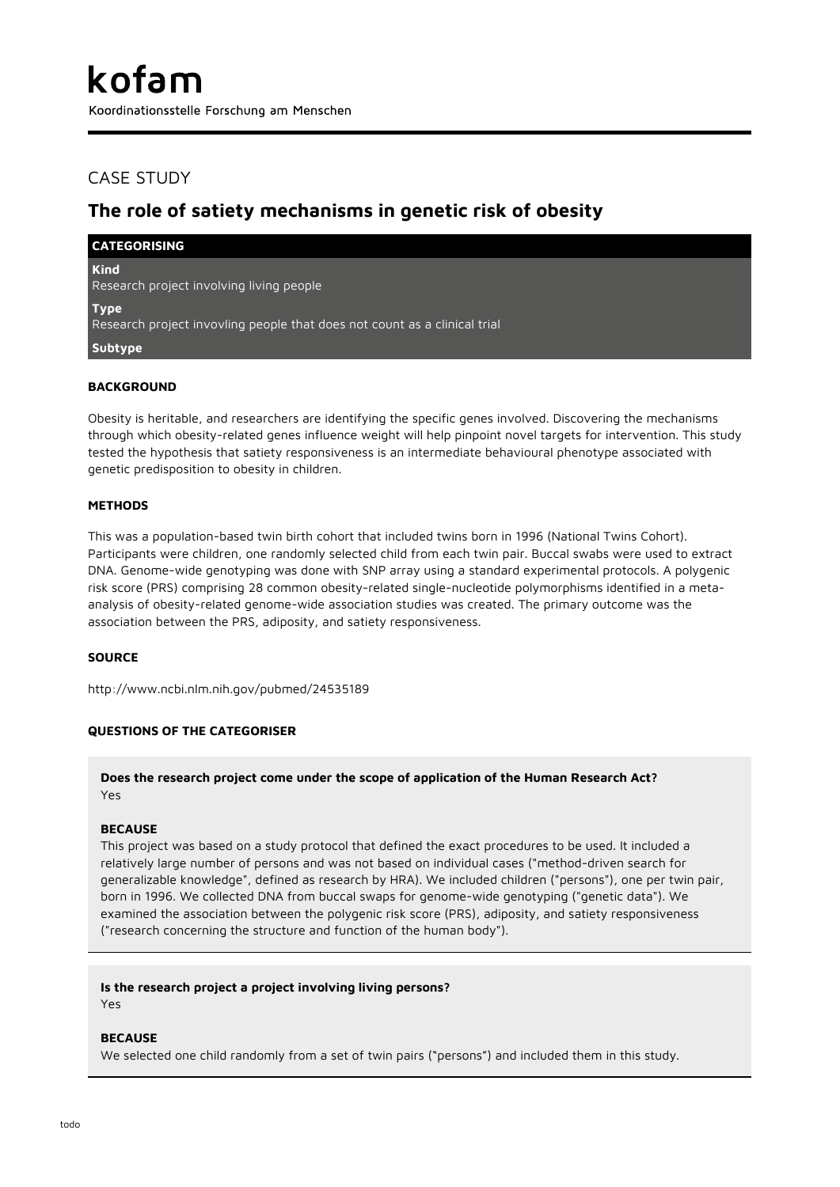Koordinationsstelle Forschung am Menschen

## CASE STUDY

# **The role of satiety mechanisms in genetic risk of obesity**

| <b>CATEGORISING</b>                                                                      |
|------------------------------------------------------------------------------------------|
| <b>Kind</b><br>Research project involving living people                                  |
| <b>Type</b><br>Research project invovling people that does not count as a clinical trial |
| Subtype                                                                                  |
|                                                                                          |

### **BACKGROUND**

Obesity is heritable, and researchers are identifying the specific genes involved. Discovering the mechanisms through which obesity-related genes influence weight will help pinpoint novel targets for intervention. This study tested the hypothesis that satiety responsiveness is an intermediate behavioural phenotype associated with genetic predisposition to obesity in children.

### **METHODS**

This was a population-based twin birth cohort that included twins born in 1996 (National Twins Cohort). Participants were children, one randomly selected child from each twin pair. Buccal swabs were used to extract DNA. Genome-wide genotyping was done with SNP array using a standard experimental protocols. A polygenic risk score (PRS) comprising 28 common obesity-related single-nucleotide polymorphisms identified in a metaanalysis of obesity-related genome-wide association studies was created. The primary outcome was the association between the PRS, adiposity, and satiety responsiveness.

### **SOURCE**

http://www.ncbi.nlm.nih.gov/pubmed/24535189

### **QUESTIONS OF THE CATEGORISER**

### **Does the research project come under the scope of application of the Human Research Act?** Yes

### **BECAUSE**

This project was based on a study protocol that defined the exact procedures to be used. It included a relatively large number of persons and was not based on individual cases ("method-driven search for generalizable knowledge", defined as research by HRA). We included children ("persons"), one per twin pair, born in 1996. We collected DNA from buccal swaps for genome-wide genotyping ("genetic data"). We examined the association between the polygenic risk score (PRS), adiposity, and satiety responsiveness ("research concerning the structure and function of the human body").

### **Is the research project a project involving living persons?**

Yes

#### **BECAUSE**

We selected one child randomly from a set of twin pairs ("persons") and included them in this study.